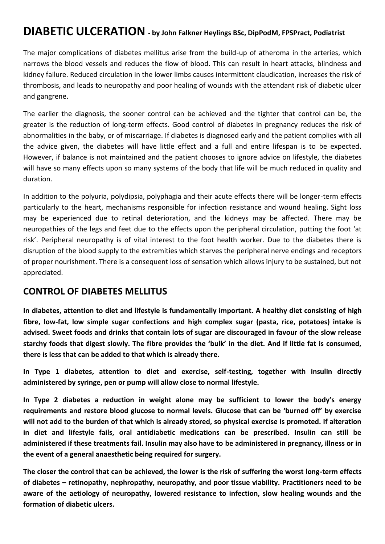# **DIABETIC ULCERATION - by John Falkner Heylings BSc, DipPodM, FPSPract, Podiatrist**

The major complications of diabetes mellitus arise from the build-up of atheroma in the arteries, which narrows the blood vessels and reduces the flow of blood. This can result in heart attacks, blindness and kidney failure. Reduced circulation in the lower limbs causes intermittent claudication, increases the risk of thrombosis, and leads to neuropathy and poor healing of wounds with the attendant risk of diabetic ulcer and gangrene.

The earlier the diagnosis, the sooner control can be achieved and the tighter that control can be, the greater is the reduction of long-term effects. Good control of diabetes in pregnancy reduces the risk of abnormalities in the baby, or of miscarriage. If diabetes is diagnosed early and the patient complies with all the advice given, the diabetes will have little effect and a full and entire lifespan is to be expected. However, if balance is not maintained and the patient chooses to ignore advice on lifestyle, the diabetes will have so many effects upon so many systems of the body that life will be much reduced in quality and duration.

In addition to the polyuria, polydipsia, polyphagia and their acute effects there will be longer-term effects particularly to the heart, mechanisms responsible for infection resistance and wound healing. Sight loss may be experienced due to retinal deterioration, and the kidneys may be affected. There may be neuropathies of the legs and feet due to the effects upon the peripheral circulation, putting the foot 'at risk'. Peripheral neuropathy is of vital interest to the foot health worker. Due to the diabetes there is disruption of the blood supply to the extremities which starves the peripheral nerve endings and receptors of proper nourishment. There is a consequent loss of sensation which allows injury to be sustained, but not appreciated.

#### **CONTROL OF DIABETES MELLITUS**

**In diabetes, attention to diet and lifestyle is fundamentally important. A healthy diet consisting of high fibre, low-fat, low simple sugar confections and high complex sugar (pasta, rice, potatoes) intake is advised. Sweet foods and drinks that contain lots of sugar are discouraged in favour of the slow release starchy foods that digest slowly. The fibre provides the 'bulk' in the diet. And if little fat is consumed, there is less that can be added to that which is already there.**

**In Type 1 diabetes, attention to diet and exercise, self-testing, together with insulin directly administered by syringe, pen or pump will allow close to normal lifestyle.**

**In Type 2 diabetes a reduction in weight alone may be sufficient to lower the body's energy requirements and restore blood glucose to normal levels. Glucose that can be 'burned off' by exercise will not add to the burden of that which is already stored, so physical exercise is promoted. If alteration in diet and lifestyle fails, oral antidiabetic medications can be prescribed. Insulin can still be administered if these treatments fail. Insulin may also have to be administered in pregnancy, illness or in the event of a general anaesthetic being required for surgery.**

**The closer the control that can be achieved, the lower is the risk of suffering the worst long-term effects of diabetes – retinopathy, nephropathy, neuropathy, and poor tissue viability. Practitioners need to be aware of the aetiology of neuropathy, lowered resistance to infection, slow healing wounds and the formation of diabetic ulcers.**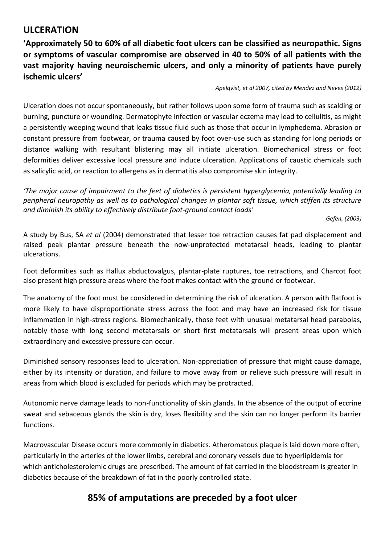## **ULCERATION**

**'Approximately 50 to 60% of all diabetic foot ulcers can be classified as neuropathic. Signs or symptoms of vascular compromise are observed in 40 to 50% of all patients with the vast majority having neuroischemic ulcers, and only a minority of patients have purely ischemic ulcers'**

*Apelqvist, et al 2007, cited by Mendez and Neves (2012)*

Ulceration does not occur spontaneously, but rather follows upon some form of trauma such as scalding or burning, puncture or wounding. Dermatophyte infection or vascular eczema may lead to cellulitis, as might a persistently weeping wound that leaks tissue fluid such as those that occur in lymphedema. Abrasion or constant pressure from footwear, or trauma caused by foot over-use such as standing for long periods or distance walking with resultant blistering may all initiate ulceration. Biomechanical stress or foot deformities deliver excessive local pressure and induce ulceration. Applications of caustic chemicals such as salicylic acid, or reaction to allergens as in dermatitis also compromise skin integrity.

*'The major cause of impairment to the feet of diabetics is persistent hyperglycemia, potentially leading to peripheral neuropathy as well as to pathological changes in plantar soft tissue, which stiffen its structure and diminish its ability to effectively distribute foot-ground contact loads'*

*Gefen, (2003)*

A study by Bus, SA *et al* (2004) demonstrated that lesser toe retraction causes fat pad displacement and raised peak plantar pressure beneath the now-unprotected metatarsal heads, leading to plantar ulcerations.

Foot deformities such as Hallux abductovalgus, plantar-plate ruptures, toe retractions, and Charcot foot also present high pressure areas where the foot makes contact with the ground or footwear.

The anatomy of the foot must be considered in determining the risk of ulceration. A person with flatfoot is more likely to have disproportionate stress across the foot and may have an increased risk for tissue inflammation in high-stress regions. Biomechanically, those feet with unusual metatarsal head parabolas, notably those with long second metatarsals or short first metatarsals will present areas upon which extraordinary and excessive pressure can occur.

Diminished sensory responses lead to ulceration. Non-appreciation of pressure that might cause damage, either by its intensity or duration, and failure to move away from or relieve such pressure will result in areas from which blood is excluded for periods which may be protracted.

Autonomic nerve damage leads to non-functionality of skin glands. In the absence of the output of eccrine sweat and sebaceous glands the skin is dry, loses flexibility and the skin can no longer perform its barrier functions.

Macrovascular Disease occurs more commonly in diabetics. Atheromatous plaque is laid down more often, particularly in the arteries of the lower limbs, cerebral and coronary vessels due to hyperlipidemia for which anticholesterolemic drugs are prescribed. The amount of fat carried in the bloodstream is greater in diabetics because of the breakdown of fat in the poorly controlled state.

## **85% of amputations are preceded by a foot ulcer**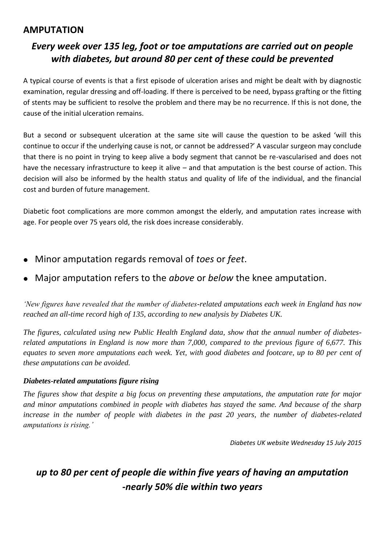### **AMPUTATION**

# *Every week over 135 leg, foot or toe amputations are carried out on people with diabetes, but around 80 per cent of these could be prevented*

A typical course of events is that a first episode of ulceration arises and might be dealt with by diagnostic examination, regular dressing and off-loading. If there is perceived to be need, bypass grafting or the fitting of stents may be sufficient to resolve the problem and there may be no recurrence. If this is not done, the cause of the initial ulceration remains.

But a second or subsequent ulceration at the same site will cause the question to be asked 'will this continue to occur if the underlying cause is not, or cannot be addressed?' A vascular surgeon may conclude that there is no point in trying to keep alive a body segment that cannot be re-vascularised and does not have the necessary infrastructure to keep it alive – and that amputation is the best course of action. This decision will also be informed by the health status and quality of life of the individual, and the financial cost and burden of future management.

Diabetic foot complications are more common amongst the elderly, and amputation rates increase with age. For people over 75 years old, the risk does increase considerably.

- Minor amputation regards removal of *toes* or *feet*.
- Major amputation refers to the *above* or *below* the knee amputation.

*'New figures have revealed that the number of diabetes-related amputations each week in England has now reached an all-time record high of 135, according to new analysis by Diabetes UK.*

*The figures, calculated using new Public Health England data, show that the annual number of diabetesrelated amputations in England is now more than 7,000, compared to the previous figure of 6,677. This equates to seven more amputations each week. Yet, with good diabetes and footcare, up to 80 per cent of these amputations can be avoided.*

#### *Diabetes-related amputations figure rising*

*The figures show that despite a big focus on preventing these amputations, the amputation rate for major and minor amputations combined in people with diabetes has stayed the same. And because of the sharp increase in the number of people with diabetes in the past 20 years, the number of diabetes-related amputations is rising.'*

*Diabetes UK website Wednesday 15 July 2015*

# *up to 80 per cent of people die within five years of having an amputation -nearly 50% die within two years*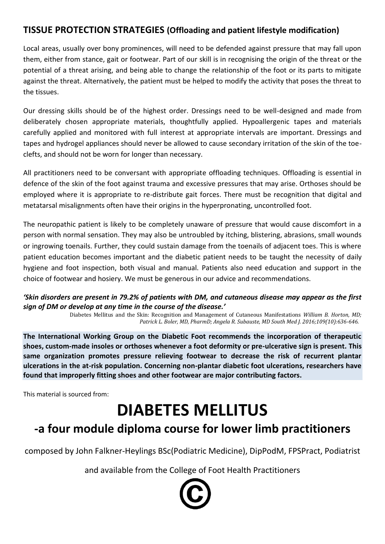## **TISSUE PROTECTION STRATEGIES (Offloading and patient lifestyle modification)**

Local areas, usually over bony prominences, will need to be defended against pressure that may fall upon them, either from stance, gait or footwear. Part of our skill is in recognising the origin of the threat or the potential of a threat arising, and being able to change the relationship of the foot or its parts to mitigate against the threat. Alternatively, the patient must be helped to modify the activity that poses the threat to the tissues.

Our dressing skills should be of the highest order. Dressings need to be well-designed and made from deliberately chosen appropriate materials, thoughtfully applied. Hypoallergenic tapes and materials carefully applied and monitored with full interest at appropriate intervals are important. Dressings and tapes and hydrogel appliances should never be allowed to cause secondary irritation of the skin of the toeclefts, and should not be worn for longer than necessary.

All practitioners need to be conversant with appropriate offloading techniques. Offloading is essential in defence of the skin of the foot against trauma and excessive pressures that may arise. Orthoses should be employed where it is appropriate to re-distribute gait forces. There must be recognition that digital and metatarsal misalignments often have their origins in the hyperpronating, uncontrolled foot.

The neuropathic patient is likely to be completely unaware of pressure that would cause discomfort in a person with normal sensation. They may also be untroubled by itching, blistering, abrasions, small wounds or ingrowing toenails. Further, they could sustain damage from the toenails of adjacent toes. This is where patient education becomes important and the diabetic patient needs to be taught the necessity of daily hygiene and foot inspection, both visual and manual. Patients also need education and support in the choice of footwear and hosiery. We must be generous in our advice and recommendations.

#### *'Skin disorders are present in 79.2% of patients with DM, and cutaneous disease may appear as the first sign of DM or develop at any time in the course of the disease.'*

Diabetes Mellitus and the Skin: Recognition and Management of Cutaneous Manifestations *William B. Horton, MD; Patrick L. Boler, MD, PharmD; Angela R. Subauste, MD South Med J. 2016;109(10):636-646.*

**The International Working Group on the Diabetic Foot recommends the incorporation of therapeutic shoes, custom-made insoles or orthoses whenever a foot deformity or pre-ulcerative sign is present. This same organization promotes pressure relieving footwear to decrease the risk of recurrent plantar ulcerations in the at-risk population. Concerning non-plantar diabetic foot ulcerations, researchers have found that improperly fitting shoes and other footwear are major contributing factors.**

This material is sourced from:

# **DIABETES MELLITUS**

# **-a four module diploma course for lower limb practitioners**

composed by John Falkner-Heylings BSc(Podiatric Medicine), DipPodM, FPSPract, Podiatrist

and available from the College of Foot Health Practitioners